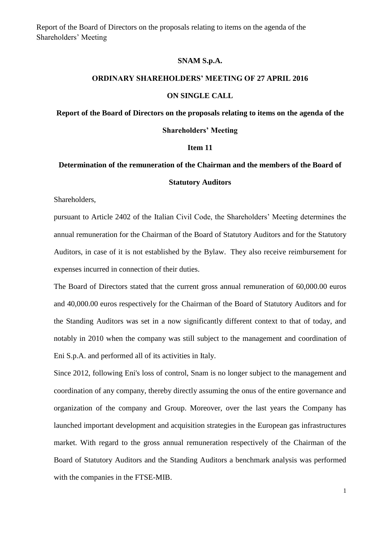Report of the Board of Directors on the proposals relating to items on the agenda of the Shareholders' Meeting

### **SNAM S.p.A.**

#### **ORDINARY SHAREHOLDERS' MEETING OF 27 APRIL 2016**

#### **ON SINGLE CALL**

**Report of the Board of Directors on the proposals relating to items on the agenda of the** 

#### **Shareholders' Meeting**

#### **Item 11**

# **Determination of the remuneration of the Chairman and the members of the Board of Statutory Auditors**

Shareholders,

pursuant to Article 2402 of the Italian Civil Code, the Shareholders' Meeting determines the annual remuneration for the Chairman of the Board of Statutory Auditors and for the Statutory Auditors, in case of it is not established by the Bylaw. They also receive reimbursement for expenses incurred in connection of their duties.

The Board of Directors stated that the current gross annual remuneration of 60,000.00 euros and 40,000.00 euros respectively for the Chairman of the Board of Statutory Auditors and for the Standing Auditors was set in a now significantly different context to that of today, and notably in 2010 when the company was still subject to the management and coordination of Eni S.p.A. and performed all of its activities in Italy.

Since 2012, following Eni's loss of control, Snam is no longer subject to the management and coordination of any company, thereby directly assuming the onus of the entire governance and organization of the company and Group. Moreover, over the last years the Company has launched important development and acquisition strategies in the European gas infrastructures market. With regard to the gross annual remuneration respectively of the Chairman of the Board of Statutory Auditors and the Standing Auditors a benchmark analysis was performed with the companies in the FTSE-MIB.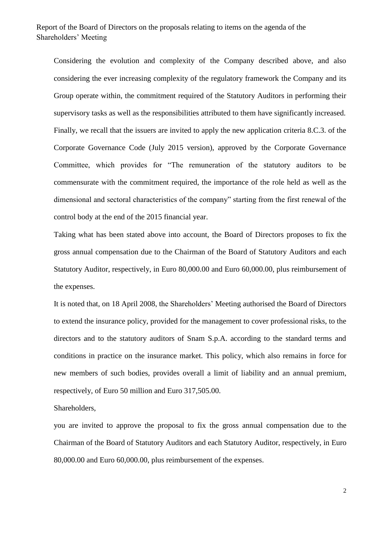## Report of the Board of Directors on the proposals relating to items on the agenda of the Shareholders' Meeting

Considering the evolution and complexity of the Company described above, and also considering the ever increasing complexity of the regulatory framework the Company and its Group operate within, the commitment required of the Statutory Auditors in performing their supervisory tasks as well as the responsibilities attributed to them have significantly increased. Finally, we recall that the issuers are invited to apply the new application criteria 8.C.3. of the Corporate Governance Code (July 2015 version), approved by the Corporate Governance Committee, which provides for "The remuneration of the statutory auditors to be commensurate with the commitment required, the importance of the role held as well as the dimensional and sectoral characteristics of the company" starting from the first renewal of the control body at the end of the 2015 financial year.

Taking what has been stated above into account, the Board of Directors proposes to fix the gross annual compensation due to the Chairman of the Board of Statutory Auditors and each Statutory Auditor, respectively, in Euro 80,000.00 and Euro 60,000.00, plus reimbursement of the expenses.

It is noted that, on 18 April 2008, the Shareholders' Meeting authorised the Board of Directors to extend the insurance policy, provided for the management to cover professional risks, to the directors and to the statutory auditors of Snam S.p.A. according to the standard terms and conditions in practice on the insurance market. This policy, which also remains in force for new members of such bodies, provides overall a limit of liability and an annual premium, respectively, of Euro 50 million and Euro 317,505.00.

Shareholders,

you are invited to approve the proposal to fix the gross annual compensation due to the Chairman of the Board of Statutory Auditors and each Statutory Auditor, respectively, in Euro 80,000.00 and Euro 60,000.00, plus reimbursement of the expenses.

2